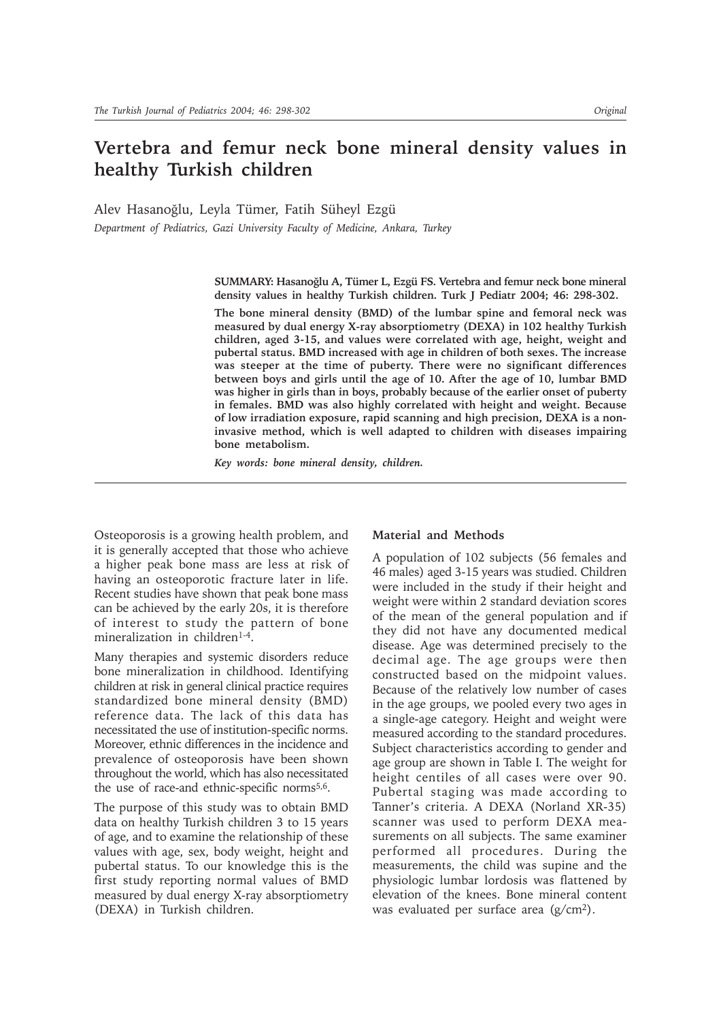# **Vertebra and femur neck bone mineral density values in healthy Turkish children**

Alev Hasanoğlu, Leyla Tümer, Fatih Süheyl Ezgü

*Department of Pediatrics, Gazi University Faculty of Medicine, Ankara, Turkey*

SUMMARY: Hasanoğlu A, Tümer L, Ezgü FS. Vertebra and femur neck bone mineral **density values in healthy Turkish children. Turk J Pediatr 2004; 46: 298-302.**

**The bone mineral density (BMD) of the lumbar spine and femoral neck was measured by dual energy X-ray absorptiometry (DEXA) in 102 healthy Turkish children, aged 3-15, and values were correlated with age, height, weight and pubertal status. BMD increased with age in children of both sexes. The increase was steeper at the time of puberty. There were no significant differences between boys and girls until the age of 10. After the age of 10, lumbar BMD was higher in girls than in boys, probably because of the earlier onset of puberty in females. BMD was also highly correlated with height and weight. Because of low irradiation exposure, rapid scanning and high precision, DEXA is a noninvasive method, which is well adapted to children with diseases impairing bone metabolism.**

*Key words: bone mineral density, children.*

Osteoporosis is a growing health problem, and it is generally accepted that those who achieve a higher peak bone mass are less at risk of having an osteoporotic fracture later in life. Recent studies have shown that peak bone mass can be achieved by the early 20s, it is therefore of interest to study the pattern of bone mineralization in children<sup>1-4</sup>.

Many therapies and systemic disorders reduce bone mineralization in childhood. Identifying children at risk in general clinical practice requires standardized bone mineral density (BMD) reference data. The lack of this data has necessitated the use of institution-specific norms. Moreover, ethnic differences in the incidence and prevalence of osteoporosis have been shown throughout the world, which has also necessitated the use of race-and ethnic-specific norms<sup>5,6</sup>.

The purpose of this study was to obtain BMD data on healthy Turkish children 3 to 15 years of age, and to examine the relationship of these values with age, sex, body weight, height and pubertal status. To our knowledge this is the first study reporting normal values of BMD measured by dual energy X-ray absorptiometry (DEXA) in Turkish children.

## **Material and Methods**

A population of 102 subjects (56 females and 46 males) aged 3-15 years was studied. Children were included in the study if their height and weight were within 2 standard deviation scores of the mean of the general population and if they did not have any documented medical disease. Age was determined precisely to the decimal age. The age groups were then constructed based on the midpoint values. Because of the relatively low number of cases in the age groups, we pooled every two ages in a single-age category. Height and weight were measured according to the standard procedures. Subject characteristics according to gender and age group are shown in Table I. The weight for height centiles of all cases were over 90. Pubertal staging was made according to Tanner's criteria. A DEXA (Norland XR-35) scanner was used to perform DEXA measurements on all subjects. The same examiner performed all procedures. During the measurements, the child was supine and the physiologic lumbar lordosis was flattened by elevation of the knees. Bone mineral content was evaluated per surface area (g/cm2).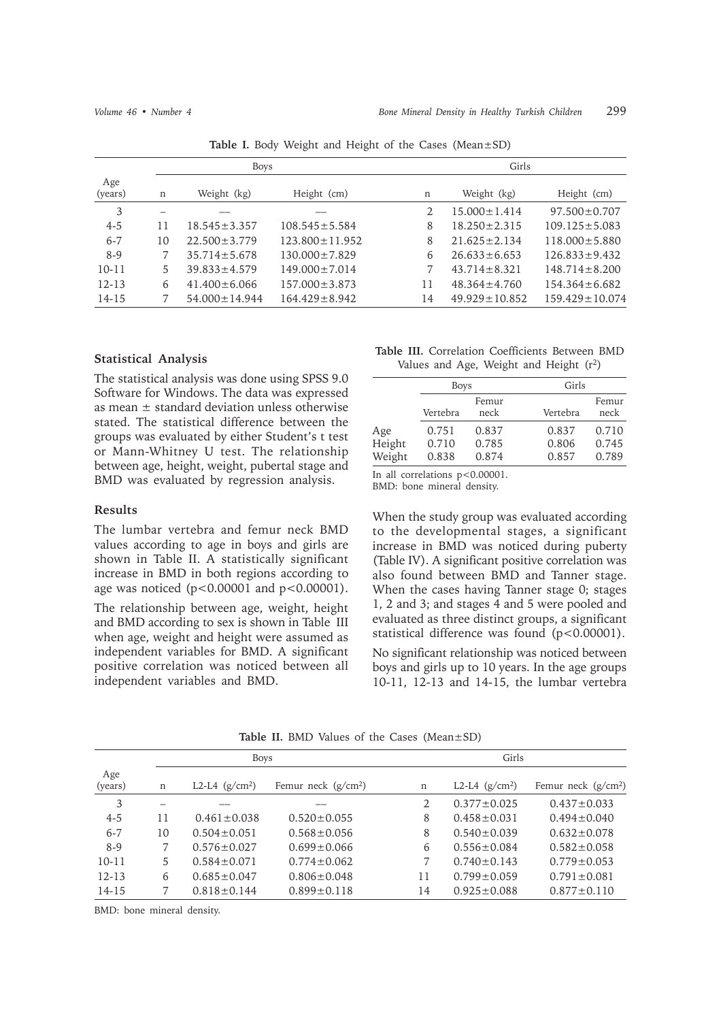|                | <b>Boys</b> |                     |                      |    | Girls               |                      |  |
|----------------|-------------|---------------------|----------------------|----|---------------------|----------------------|--|
| Age<br>(years) | n           | Weight (kg)         | Height (cm)          | n  | Weight (kg)         | Height (cm)          |  |
| 3              |             |                     |                      |    | $15.000 \pm 1.414$  | $97.500 \pm 0.707$   |  |
| $4 - 5$        | 11          | $18.545 \pm 3.357$  | $108.545 \pm 5.584$  | 8  | $18.250 \pm 2.315$  | $109.125 \pm 5.083$  |  |
| $6 - 7$        | 10          | $22.500 \pm 3.779$  | $123.800 \pm 11.952$ | 8  | $21.625 \pm 2.134$  | $118.000 \pm 5.880$  |  |
| $8-9$          |             | $35.714 \pm 5.678$  | $130.000 \pm 7.829$  | 6  | $26.633 \pm 6.653$  | $126.833 \pm 9.432$  |  |
| $10 - 11$      | 5.          | $39.833 \pm 4.579$  | $149.000 \pm 7.014$  |    | $43.714 \pm 8.321$  | $148.714 \pm 8.200$  |  |
| $12 - 13$      | 6           | $41.400 \pm 6.066$  | $157.000 \pm 3.873$  | 11 | $48.364 \pm 4.760$  | $154.364 \pm 6.682$  |  |
| 14-15          |             | $54.000 \pm 14.944$ | $164.429 \pm 8.942$  | 14 | $49.929 \pm 10.852$ | $159.429 \pm 10.074$ |  |

**Table I.** Body Weight and Height of the Cases (Mean±SD)

#### **Statistical Analysis**

The statistical analysis was done using SPSS 9.0 Software for Windows. The data was expressed as mean  $\pm$  standard deviation unless otherwise stated. The statistical difference between the groups was evaluated by either Student's t test or Mann-Whitney U test. The relationship between age, height, weight, pubertal stage and BMD was evaluated by regression analysis.

### **Results**

The lumbar vertebra and femur neck BMD values according to age in boys and girls are shown in Table II. A statistically significant increase in BMD in both regions according to age was noticed (p<0.00001 and p<0.00001).

The relationship between age, weight, height and BMD according to sex is shown in Table III when age, weight and height were assumed as independent variables for BMD. A significant positive correlation was noticed between all independent variables and BMD.

**Table III.** Correlation Coefficients Between BMD Values and Age, Weight and Height (r2)

|                         | <b>Boys</b>             |                         | Girls                   |                         |  |
|-------------------------|-------------------------|-------------------------|-------------------------|-------------------------|--|
|                         | Vertebra                | Femur<br>neck           | Vertebra                | Femur<br>neck           |  |
| Age<br>Height<br>Weight | 0.751<br>0.710<br>0.838 | 0.837<br>0.785<br>0.874 | 0.837<br>0.806<br>0.857 | 0.710<br>0.745<br>0.789 |  |

In all correlations p<0.00001.

BMD: bone mineral density.

When the study group was evaluated according to the developmental stages, a significant increase in BMD was noticed during puberty (Table IV). A significant positive correlation was also found between BMD and Tanner stage. When the cases having Tanner stage 0; stages 1, 2 and 3; and stages 4 and 5 were pooled and evaluated as three distinct groups, a significant statistical difference was found (p<0.00001).

No significant relationship was noticed between boys and girls up to 10 years. In the age groups 10-11, 12-13 and 14-15, the lumbar vertebra

|                |    | <b>Boys</b>       |                      |        | Girls             |                      |  |
|----------------|----|-------------------|----------------------|--------|-------------------|----------------------|--|
| Age<br>(years) | n  | L2-L4 $(g/cm^2)$  | Femur neck $(g/cm2)$ | $\,$ n | L2-L4 $(g/cm^2)$  | Femur neck $(g/cm2)$ |  |
| 3              |    |                   |                      | 2      | $0.377 \pm 0.025$ | $0.437 \pm 0.033$    |  |
| $4 - 5$        | 11 | $0.461 \pm 0.038$ | $0.520 \pm 0.055$    | 8      | $0.458 \pm 0.031$ | $0.494 \pm 0.040$    |  |
| $6 - 7$        | 10 | $0.504 \pm 0.051$ | $0.568 \pm 0.056$    | 8      | $0.540 \pm 0.039$ | $0.632 \pm 0.078$    |  |
| $8-9$          | 7  | $0.576 \pm 0.027$ | $0.699 \pm 0.066$    | 6      | $0.556 \pm 0.084$ | $0.582 \pm 0.058$    |  |
| $10-11$        | 5  | $0.584 \pm 0.071$ | $0.774 \pm 0.062$    |        | $0.740 \pm 0.143$ | $0.779 \pm 0.053$    |  |
| $12 - 13$      | 6  | $0.685 \pm 0.047$ | $0.806 \pm 0.048$    | 11     | $0.799 \pm 0.059$ | $0.791 \pm 0.081$    |  |
| $14 - 15$      |    | $0.818 \pm 0.144$ | $0.899 \pm 0.118$    | 14     | $0.925 \pm 0.088$ | $0.877 \pm 0.110$    |  |

**Table II.** BMD Values of the Cases (Mean±SD)

BMD: bone mineral density.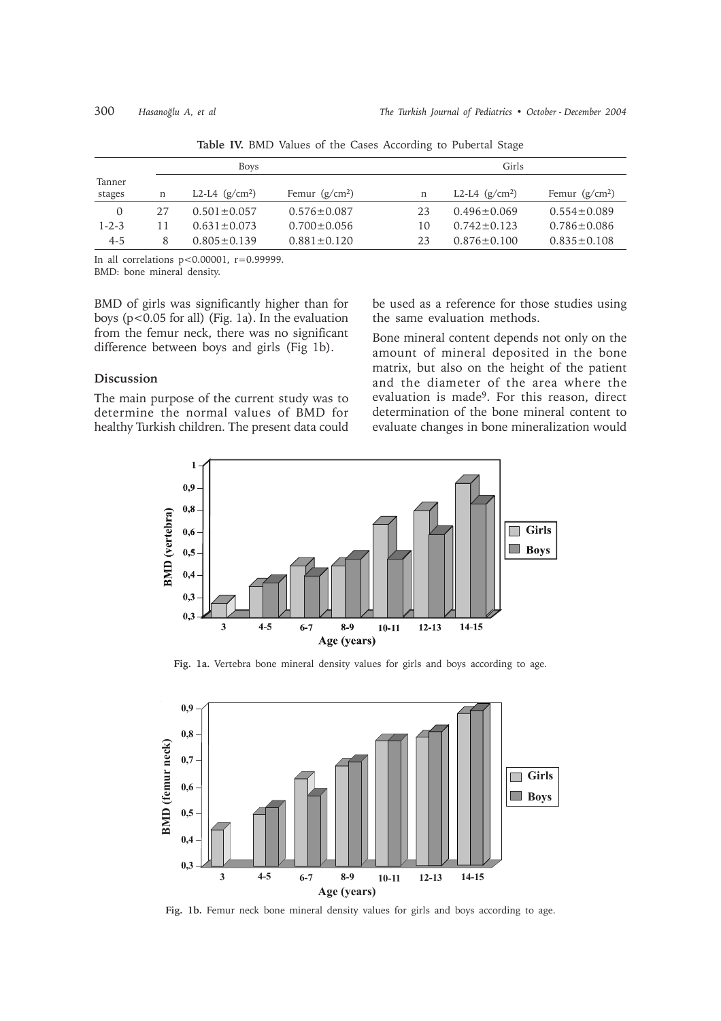|                  |    | Boys              |                   |    | Girls             |                   |  |
|------------------|----|-------------------|-------------------|----|-------------------|-------------------|--|
| Tanner<br>stages | n  | L2-L4 $(g/cm^2)$  | Femur $(g/cm^2)$  | n  | L2-L4 $(g/cm^2)$  | Femur $(g/cm^2)$  |  |
| $\Omega$         | 27 | $0.501 \pm 0.057$ | $0.576 \pm 0.087$ | 23 | $0.496 \pm 0.069$ | $0.554 \pm 0.089$ |  |
| $1 - 2 - 3$      | 11 | $0.631 + 0.073$   | $0.700 \pm 0.056$ | 10 | $0.742 + 0.123$   | $0.786 \pm 0.086$ |  |
| $4 - 5$          | 8  | $0.805 + 0.139$   | $0.881 \pm 0.120$ | 23 | $0.876 \pm 0.100$ | $0.835 \pm 0.108$ |  |

**Table IV.** BMD Values of the Cases According to Pubertal Stage

In all correlations  $p < 0.00001$ ,  $r = 0.999999$ . BMD: bone mineral density.

BMD of girls was significantly higher than for boys (p<0.05 for all) (Fig. 1a). In the evaluation from the femur neck, there was no significant difference between boys and girls (Fig 1b).

### **Discussion**

The main purpose of the current study was to determine the normal values of BMD for healthy Turkish children. The present data could

be used as a reference for those studies using the same evaluation methods.

Bone mineral content depends not only on the amount of mineral deposited in the bone matrix, but also on the height of the patient and the diameter of the area where the evaluation is made9. For this reason, direct determination of the bone mineral content to evaluate changes in bone mineralization would



**Fig. 1a.** Vertebra bone mineral density values for girls and boys according to age.



Fig. 1b. Femur neck bone mineral density values for girls and boys according to age.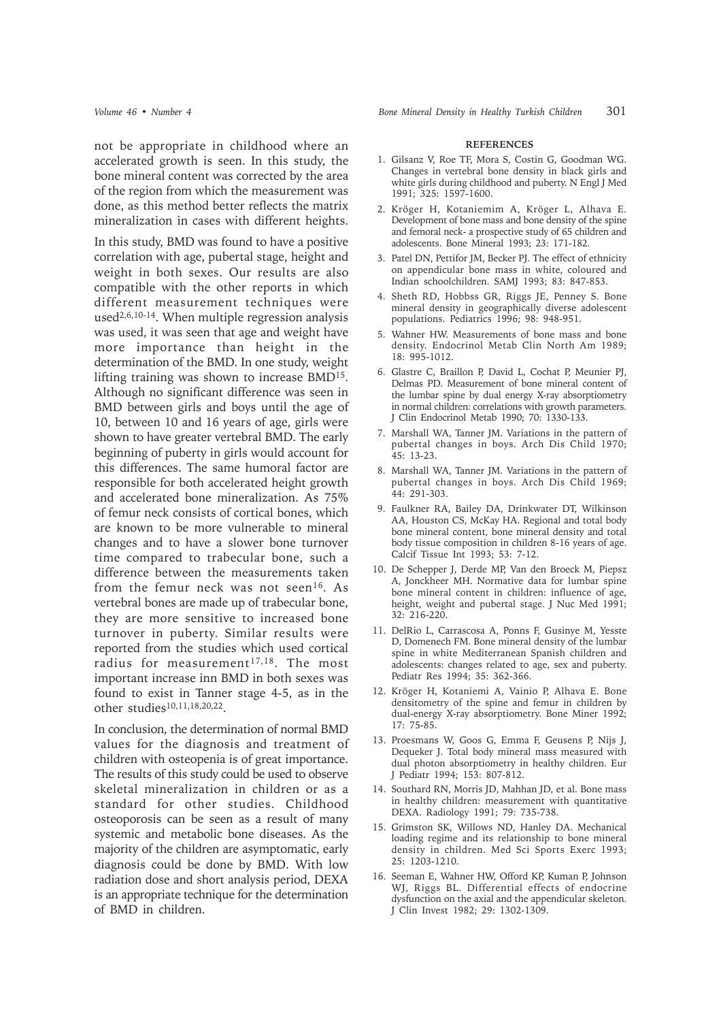not be appropriate in childhood where an accelerated growth is seen. In this study, the bone mineral content was corrected by the area of the region from which the measurement was done, as this method better reflects the matrix mineralization in cases with different heights.

In this study, BMD was found to have a positive correlation with age, pubertal stage, height and weight in both sexes. Our results are also compatible with the other reports in which different measurement techniques were used2,6,10-14. When multiple regression analysis was used, it was seen that age and weight have more importance than height in the determination of the BMD. In one study, weight lifting training was shown to increase BMD15. Although no significant difference was seen in BMD between girls and boys until the age of 10, between 10 and 16 years of age, girls were shown to have greater vertebral BMD. The early beginning of puberty in girls would account for this differences. The same humoral factor are responsible for both accelerated height growth and accelerated bone mineralization. As 75% of femur neck consists of cortical bones, which are known to be more vulnerable to mineral changes and to have a slower bone turnover time compared to trabecular bone, such a difference between the measurements taken from the femur neck was not seen<sup>16</sup>. As vertebral bones are made up of trabecular bone, they are more sensitive to increased bone turnover in puberty. Similar results were reported from the studies which used cortical radius for measurement<sup>17,18</sup>. The most important increase inn BMD in both sexes was found to exist in Tanner stage 4-5, as in the other studies10,11,18,20,22.

In conclusion, the determination of normal BMD values for the diagnosis and treatment of children with osteopenia is of great importance. The results of this study could be used to observe skeletal mineralization in children or as a standard for other studies. Childhood osteoporosis can be seen as a result of many systemic and metabolic bone diseases. As the majority of the children are asymptomatic, early diagnosis could be done by BMD. With low radiation dose and short analysis period, DEXA is an appropriate technique for the determination of BMD in children.

#### **REFERENCES**

- 1. Gilsanz V, Roe TF, Mora S, Costin G, Goodman WG. Changes in vertebral bone density in black girls and white girls during childhood and puberty. N Engl J Med 1991; 325: 1597-1600.
- 2. Kröger H, Kotaniemim A, Kröger L, Alhava E. Development of bone mass and bone density of the spine and femoral neck- a prospective study of 65 children and adolescents. Bone Mineral 1993; 23: 171-182.
- 3. Patel DN, Pettifor JM, Becker PJ. The effect of ethnicity on appendicular bone mass in white, coloured and Indian schoolchildren. SAMJ 1993; 83: 847-853.
- 4. Sheth RD, Hobbss GR, Riggs JE, Penney S. Bone mineral density in geographically diverse adolescent populations. Pediatrics 1996; 98: 948-951.
- 5. Wahner HW. Measurements of bone mass and bone density. Endocrinol Metab Clin North Am 1989; 18: 995-1012.
- 6. Glastre C, Braillon P, David L, Cochat P, Meunier PJ, Delmas PD. Measurement of bone mineral content of the lumbar spine by dual energy X-ray absorptiometry in normal children: correlations with growth parameters. J Clin Endocrinol Metab 1990; 70: 1330-133.
- 7. Marshall WA, Tanner JM. Variations in the pattern of pubertal changes in boys. Arch Dis Child 1970; 45: 13-23.
- 8. Marshall WA, Tanner JM. Variations in the pattern of pubertal changes in boys. Arch Dis Child 1969; 44: 291-303.
- 9. Faulkner RA, Bailey DA, Drinkwater DT, Wilkinson AA, Houston CS, McKay HA. Regional and total body bone mineral content, bone mineral density and total body tissue composition in children 8-16 years of age. Calcif Tissue Int 1993; 53: 7-12.
- 10. De Schepper J, Derde MP, Van den Broeck M, Piepsz A, Jonckheer MH. Normative data for lumbar spine bone mineral content in children: influence of age, height, weight and pubertal stage. J Nuc Med 1991; 32: 216-220.
- 11. DelRio L, Carrascosa A, Ponns F, Gusinye M, Yesste D, Domenech FM. Bone mineral density of the lumbar spine in white Mediterranean Spanish children and adolescents: changes related to age, sex and puberty. Pediatr Res 1994; 35: 362-366.
- 12. Kröger H, Kotaniemi A, Vainio P, Alhava E. Bone densitometry of the spine and femur in children by dual-energy X-ray absorptiometry. Bone Miner 1992; 17: 75-85.
- 13. Proesmans W, Goos G, Emma F, Geusens P, Nijs J, Dequeker J. Total body mineral mass measured with dual photon absorptiometry in healthy children. Eur J Pediatr 1994; 153: 807-812.
- 14. Southard RN, Morris JD, Mahhan JD, et al. Bone mass in healthy children: measurement with quantitative DEXA. Radiology 1991; 79: 735-738.
- 15. Grimston SK, Willows ND, Hanley DA. Mechanical loading regime and its relationship to bone mineral density in children. Med Sci Sports Exerc 1993; 25: 1203-1210.
- 16. Seeman E, Wahner HW, Offord KP, Kuman P, Johnson WJ, Riggs BL. Differential effects of endocrine dysfunction on the axial and the appendicular skeleton. J Clin Invest 1982; 29: 1302-1309.